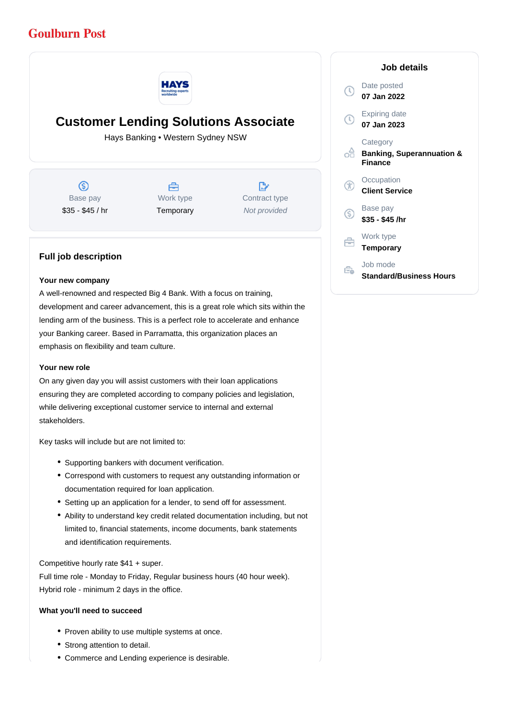# **Goulburn Post**



# **Customer Lending Solutions Associate**

Hays Banking • Western Sydney NSW

 $\circledS$ Base pay \$35 - \$45 / hr



 $\mathbb{R}^*$ Contract type Not provided

# **Full job description**

#### **Your new company**

A well-renowned and respected Big 4 Bank. With a focus on training, development and career advancement, this is a great role which sits within the lending arm of the business. This is a perfect role to accelerate and enhance your Banking career. Based in Parramatta, this organization places an emphasis on flexibility and team culture.

### **Your new role**

On any given day you will assist customers with their loan applications ensuring they are completed according to company policies and legislation, while delivering exceptional customer service to internal and external stakeholders.

Key tasks will include but are not limited to:

- Supporting bankers with document verification.
- Correspond with customers to request any outstanding information or documentation required for loan application.
- Setting up an application for a lender, to send off for assessment.
- Ability to understand key credit related documentation including, but not limited to, financial statements, income documents, bank statements and identification requirements.

Competitive hourly rate \$41 + super.

Full time role - Monday to Friday, Regular business hours (40 hour week). Hybrid role - minimum 2 days in the office.

### **What you'll need to succeed**

- Proven ability to use multiple systems at once.
- Strong attention to detail.
- Commerce and Lending experience is desirable.

|    | Job details                                                        |
|----|--------------------------------------------------------------------|
|    | Date posted<br>07 Jan 2022                                         |
|    | <b>Expiring date</b><br>07 Jan 2023                                |
|    | Category<br><b>Banking, Superannuation &amp;</b><br><b>Finance</b> |
|    | Occupation<br><b>Client Service</b>                                |
| G. | Base pay<br>\$35 - \$45 /hr                                        |
|    | Work type<br>Temporary                                             |
|    | Job mode<br><b>Standard/Business Hours</b>                         |